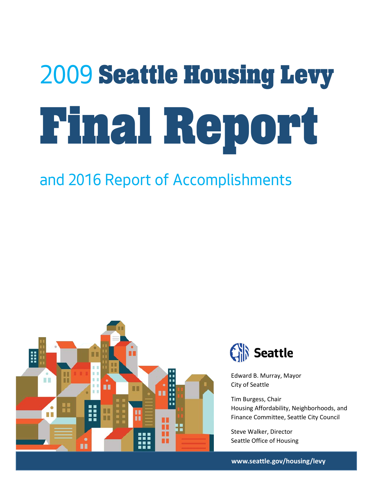# *2009* Seattle Housing Levy Final Report

# *and 2016 Report of Accomplishments*





Edward B. Murray, Mayor City of Seattle

Tim Burgess, Chair Housing Affordability, Neighborhoods, and Finance Committee, Seattle City Council

Steve Walker, Director Seattle Office of Housing

**www.seattle.gov/housing/levy**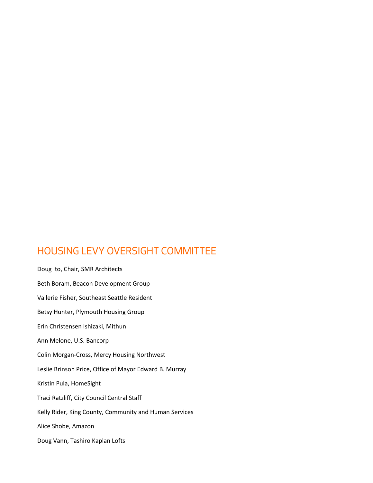# HOUSING LEVY OVERSIGHT COMMITTEE

Doug Ito, Chair, SMR Architects Beth Boram, Beacon Development Group Vallerie Fisher, Southeast Seattle Resident Betsy Hunter, Plymouth Housing Group Erin Christensen Ishizaki, Mithun Ann Melone, U.S. Bancorp Colin Morgan-Cross, Mercy Housing Northwest Leslie Brinson Price, Office of Mayor Edward B. Murray Kristin Pula, HomeSight Traci Ratzliff, City Council Central Staff Kelly Rider, King County, Community and Human Services Alice Shobe, Amazon Doug Vann, Tashiro Kaplan Lofts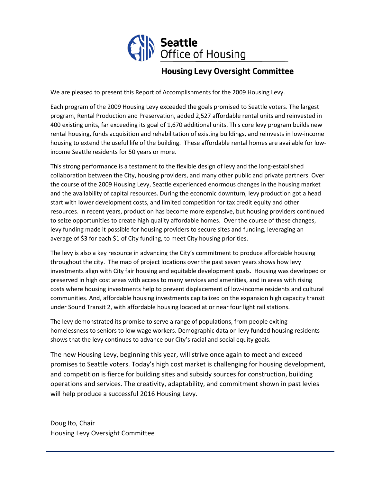

# **Housing Levy Oversight Committee**

We are pleased to present this Report of Accomplishments for the 2009 Housing Levy.

Each program of the 2009 Housing Levy exceeded the goals promised to Seattle voters. The largest program, Rental Production and Preservation, added 2,527 affordable rental units and reinvested in 400 existing units, far exceeding its goal of 1,670 additional units. This core levy program builds new rental housing, funds acquisition and rehabilitation of existing buildings, and reinvests in low-income housing to extend the useful life of the building. These affordable rental homes are available for lowincome Seattle residents for 50 years or more.

This strong performance is a testament to the flexible design of levy and the long-established collaboration between the City, housing providers, and many other public and private partners. Over the course of the 2009 Housing Levy, Seattle experienced enormous changes in the housing market and the availability of capital resources. During the economic downturn, levy production got a head start with lower development costs, and limited competition for tax credit equity and other resources. In recent years, production has become more expensive, but housing providers continued to seize opportunities to create high quality affordable homes. Over the course of these changes, levy funding made it possible for housing providers to secure sites and funding, leveraging an average of \$3 for each \$1 of City funding, to meet City housing priorities.

The levy is also a key resource in advancing the City's commitment to produce affordable housing throughout the city. The map of project locations over the past seven years shows how levy investments align with City fair housing and equitable development goals. Housing was developed or preserved in high cost areas with access to many services and amenities, and in areas with rising costs where housing investments help to prevent displacement of low-income residents and cultural communities. And, affordable housing investments capitalized on the expansion high capacity transit under Sound Transit 2, with affordable housing located at or near four light rail stations.

The levy demonstrated its promise to serve a range of populations, from people exiting homelessness to seniors to low wage workers. Demographic data on levy funded housing residents shows that the levy continues to advance our City's racial and social equity goals.

The new Housing Levy, beginning this year, will strive once again to meet and exceed promises to Seattle voters. Today's high cost market is challenging for housing development, and competition is fierce for building sites and subsidy sources for construction, building operations and services. The creativity, adaptability, and commitment shown in past levies will help produce a successful 2016 Housing Levy.

Doug Ito, Chair Housing Levy Oversight Committee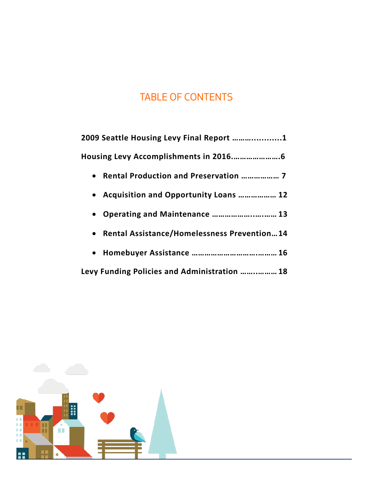# TABLE OF CONTENTS

| 2009 Seattle Housing Levy Final Report 1      |
|-----------------------------------------------|
|                                               |
| • Rental Production and Preservation  7       |
| • Acquisition and Opportunity Loans  12       |
| • Operating and Maintenance  13               |
| • Rental Assistance/Homelessness Prevention14 |
|                                               |
| Levy Funding Policies and Administration  18  |

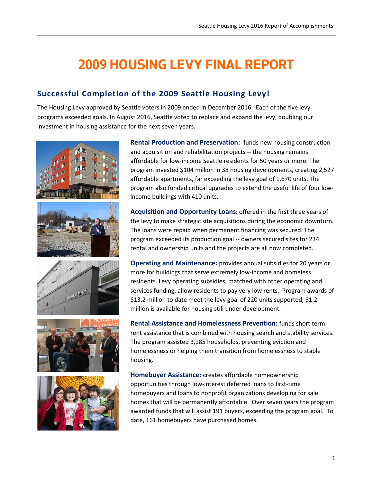# **2009 HOUSING LEVY FINAL REPORT**

# **Successful Completion of the 2009 Seattle Housing Levy!**

The Housing Levy approved by Seattle voters in 2009 ended in December 2016. Each of the five levy programs exceeded goals. In August 2016, Seattle voted to replace and expand the levy, doubling our investment in housing assistance for the next seven years.











**Rental Production and Preservation:** funds new housing construction and acquisition and rehabilitation projects -- the housing remains affordable for low-income Seattle residents for 50 years or more. The program invested \$104 million in 38 housing developments, creating 2,527 affordable apartments, far exceeding the levy goal of 1,670 units. The program also funded critical upgrades to extend the useful life of four lowincome buildings with 410 units.

**Acquisition and Opportunity Loans**: offered in the first three years of the levy to make strategic site acquisitions during the economic downturn. The loans were repaid when permanent financing was secured. The program exceeded its production goal -- owners secured sites for 234 rental and ownership units and the projects are all now completed.

**Operating and Maintenance:** provides annual subsidies for 20 years or more for buildings that serve extremely low-income and homeless residents. Levy operating subsidies, matched with other operating and services funding, allow residents to pay very low rents. Program awards of \$13.2 million to date meet the levy goal of 220 units supported; \$1.2 million is available for housing still under development.

**Rental Assistance and Homelessness Prevention:** funds short term rent assistance that is combined with housing search and stability services. The program assisted 3,185 households, preventing eviction and homelessness or helping them transition from homelessness to stable housing.

**Homebuyer Assistance:** creates affordable homeownership opportunities through low-interest deferred loans to first-time homebuyers and loans to nonprofit organizations developing for sale homes that will be permanently affordable. Over seven years the program awarded funds that will assist 191 buyers, exceeding the program goal. To date, 161 homebuyers have purchased homes.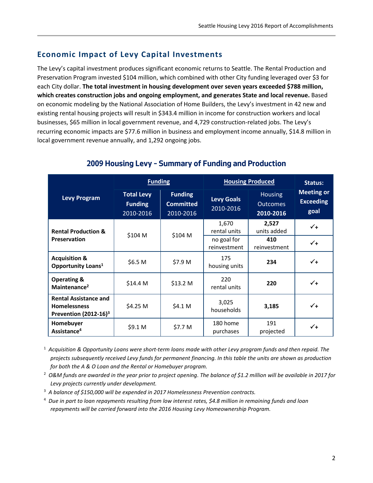## **Economic Impact of Levy Capital Investments**

The Levy's capital investment produces significant economic returns to Seattle. The Rental Production and Preservation Program invested \$104 million, which combined with other City funding leveraged over \$3 for each City dollar. **The total investment in housing development over seven years exceeded \$788 million, which creates construction jobs and ongoing employment, and generates State and local revenue.** Based on economic modeling by the National Association of Home Builders, the Levy's investment in 42 new and existing rental housing projects will result in \$343.4 million in income for construction workers and local businesses, \$65 million in local government revenue, and 4,729 construction-related jobs. The Levy's recurring economic impacts are \$77.6 million in business and employment income annually, \$14.8 million in local government revenue annually, and 1,292 ongoing jobs.

|                                                                                 | <b>Funding</b>                                   |                                                 | <b>Housing Produced</b>        |                                                | Status:                                       |
|---------------------------------------------------------------------------------|--------------------------------------------------|-------------------------------------------------|--------------------------------|------------------------------------------------|-----------------------------------------------|
| <b>Levy Program</b>                                                             | <b>Total Levy</b><br><b>Funding</b><br>2010-2016 | <b>Funding</b><br><b>Committed</b><br>2010-2016 | <b>Levy Goals</b><br>2010-2016 | <b>Housing</b><br><b>Outcomes</b><br>2010-2016 | <b>Meeting or</b><br><b>Exceeding</b><br>goal |
| <b>Rental Production &amp;</b>                                                  | \$104 M                                          | \$104 M                                         | 1,670<br>rental units          | 2,527<br>units added                           | $\checkmark$                                  |
| <b>Preservation</b>                                                             |                                                  |                                                 | no goal for<br>reinvestment    | 410<br>reinvestment                            | $\checkmark$                                  |
| <b>Acquisition &amp;</b><br>Opportunity Loans <sup>1</sup>                      | \$6.5 M                                          | \$7.9 M                                         | 175<br>housing units           | 234                                            | $\checkmark$                                  |
| <b>Operating &amp;</b><br>Maintenance <sup>2</sup>                              | \$14.4 M                                         | \$13.2 M                                        | 220<br>rental units            | 220                                            | $\checkmark$ +                                |
| <b>Rental Assistance and</b><br><b>Homelessness</b><br>Prevention $(2012-16)^3$ | \$4.25 M                                         | \$4.1 M                                         | 3,025<br>households            | 3,185                                          | $\checkmark$ +                                |
| Homebuyer<br>Assistance <sup>4</sup>                                            | \$9.1 M                                          | \$7.7 M                                         | 180 home<br>purchases          | 191<br>projected                               | $\checkmark$ +                                |

## **2009 Housing Levy – Summary of Funding and Production**

<sup>1</sup> *Acquisition & Opportunity Loans were short-term loans made with other Levy program funds and then repaid. The projects subsequently received Levy funds for permanent financing. In this table the units are shown as production for both the A & O Loan and the Rental or Homebuyer program.*

2  *O&M funds are awarded in the year prior to project opening*. *The balance of \$1.2 million will be available in 2017 for Levy projects currently under development.* 

- <sup>3</sup> *A balance of \$150,000 will be expended in 2017 Homelessness Prevention contracts.*
- <sup>4</sup> *Due in part to loan repayments resulting from low interest rates, \$4.8 million in remaining funds and loan repayments will be carried forward into the 2016 Housing Levy Homeownership Program.*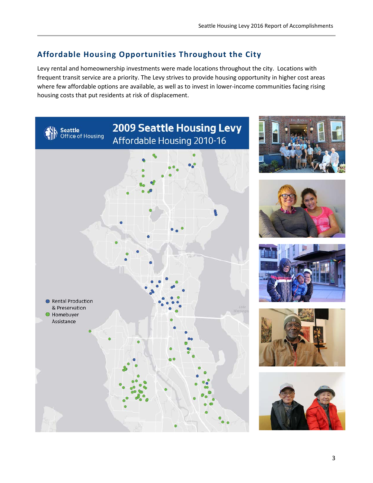# **Affordable Housing Opportunities Throughout the City**

Levy rental and homeownership investments were made locations throughout the city. Locations with frequent transit service are a priority. The Levy strives to provide housing opportunity in higher cost areas where few affordable options are available, as well as to invest in lower-income communities facing rising housing costs that put residents at risk of displacement.











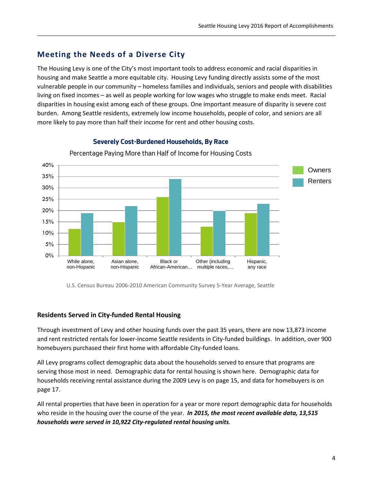## **Meeting the Needs of a Diverse City**

The Housing Levy is one of the City's most important tools to address economic and racial disparities in housing and make Seattle a more equitable city. Housing Levy funding directly assists some of the most vulnerable people in our community – homeless families and individuals, seniors and people with disabilities living on fixed incomes – as well as people working for low wages who struggle to make ends meet. Racial disparities in housing exist among each of these groups. One important measure of disparity is severe cost burden. Among Seattle residents, extremely low income households, people of color, and seniors are all more likely to pay more than half their income for rent and other housing costs.



#### **Severely Cost-Burdened Households, By Race**

Percentage Paying More than Half of Income for Housing Costs

U.S. Census Bureau 2006-2010 American Community Survey 5-Year Average, Seattle

#### **Residents Served in City-funded Rental Housing**

Through investment of Levy and other housing funds over the past 35 years, there are now 13,873 income and rent restricted rentals for lower-income Seattle residents in City-funded buildings. In addition, over 900 homebuyers purchased their first home with affordable City-funded loans.

All Levy programs collect demographic data about the households served to ensure that programs are serving those most in need. Demographic data for rental housing is shown here. Demographic data for households receiving rental assistance during the 2009 Levy is on page 15, and data for homebuyers is on page 17.

All rental properties that have been in operation for a year or more report demographic data for households who reside in the housing over the course of the year. *In 2015, the most recent available data, 13,515 households were served in 10,922 City-regulated rental housing units.*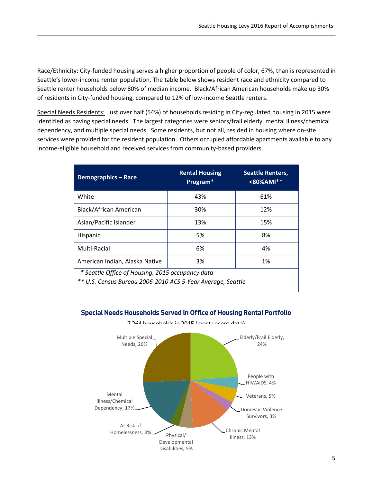Race/Ethnicity: City-funded housing serves a higher proportion of people of color, 67%, than is represented in Seattle's lower-income renter population. The table below shows resident race and ethnicity compared to Seattle renter households below 80% of median income. Black/African American households make up 30% of residents in City-funded housing, compared to 12% of low-income Seattle renters.

Special Needs Residents: Just over half (54%) of households residing in City-regulated housing in 2015 were identified as having special needs. The largest categories were seniors/frail elderly, mental illness/chemical dependency, and multiple special needs. Some residents, but not all, resided in housing where on-site services were provided for the resident population. Others occupied affordable apartments available to any income-eligible household and received services from community-based providers.

| <b>Demographics - Race</b>                                                                                      | <b>Rental Housing</b><br>Program* | <b>Seattle Renters,</b><br><80%AMI** |  |  |
|-----------------------------------------------------------------------------------------------------------------|-----------------------------------|--------------------------------------|--|--|
| White                                                                                                           | 43%                               | 61%                                  |  |  |
| Black/African American                                                                                          | 30%                               | 12%                                  |  |  |
| Asian/Pacific Islander                                                                                          | 13%                               | 15%                                  |  |  |
| <b>Hispanic</b>                                                                                                 | 5%                                | 8%                                   |  |  |
| Multi-Racial                                                                                                    | 6%                                | 4%                                   |  |  |
| American Indian, Alaska Native                                                                                  | 3%                                | 1%                                   |  |  |
| * Seattle Office of Housing, 2015 occupancy data<br>** U.S. Census Bureau 2006-2010 ACS 5-Year Average, Seattle |                                   |                                      |  |  |

#### **Special Needs Households Served in Office of Housing Rental Portfolio**



7,264 households in 2015 (most recent data)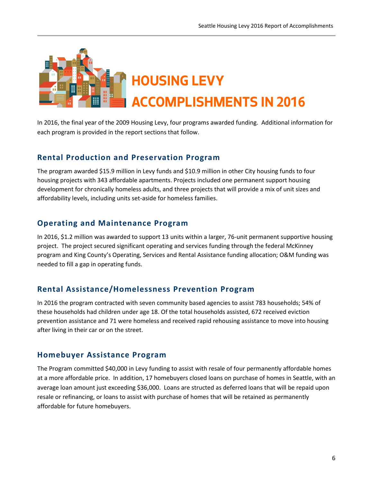

In 2016, the final year of the 2009 Housing Levy, four programs awarded funding. Additional information for each program is provided in the report sections that follow.

## **Rental Production and Preservation Program**

The program awarded \$15.9 million in Levy funds and \$10.9 million in other City housing funds to four housing projects with 343 affordable apartments. Projects included one permanent support housing development for chronically homeless adults, and three projects that will provide a mix of unit sizes and affordability levels, including units set-aside for homeless families.

## **Operating and Maintenance Program**

In 2016, \$1.2 million was awarded to support 13 units within a larger, 76-unit permanent supportive housing project. The project secured significant operating and services funding through the federal McKinney program and King County's Operating, Services and Rental Assistance funding allocation; O&M funding was needed to fill a gap in operating funds.

## **Rental Assistance/Homelessness Prevention Program**

In 2016 the program contracted with seven community based agencies to assist 783 households; 54% of these households had children under age 18. Of the total households assisted, 672 received eviction prevention assistance and 71 were homeless and received rapid rehousing assistance to move into housing after living in their car or on the street.

## **Homebuyer Assistance Program**

The Program committed \$40,000 in Levy funding to assist with resale of four permanently affordable homes at a more affordable price. In addition, 17 homebuyers closed loans on purchase of homes in Seattle, with an average loan amount just exceeding \$36,000. Loans are structed as deferred loans that will be repaid upon resale or refinancing, or loans to assist with purchase of homes that will be retained as permanently affordable for future homebuyers.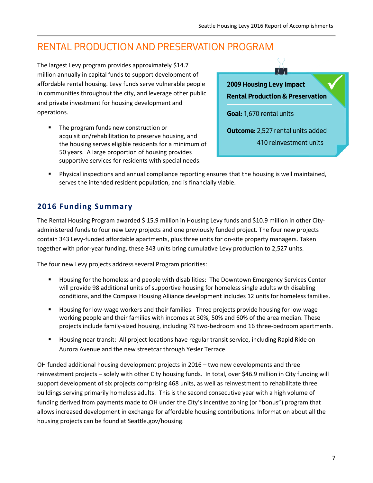# RENTAL PRODUCTION AND PRESERVATION PROGRAM

The largest Levy program provides approximately \$14.7 million annually in capital funds to support development of affordable rental housing. Levy funds serve vulnerable people in communities throughout the city, and leverage other public and private investment for housing development and operations.

 The program funds new construction or acquisition/rehabilitation to preserve housing, and the housing serves eligible residents for a minimum of 50 years. A large proportion of housing provides supportive services for residents with special needs.



 Physical inspections and annual compliance reporting ensures that the housing is well maintained, serves the intended resident population, and is financially viable.

# **2016 Funding Summary**

The Rental Housing Program awarded \$15.9 million in Housing Levy funds and \$10.9 million in other Cityadministered funds to four new Levy projects and one previously funded project. The four new projects contain 343 Levy-funded affordable apartments, plus three units for on-site property managers. Taken together with prior-year funding, these 343 units bring cumulative Levy production to 2,527 units.

The four new Levy projects address several Program priorities:

- Housing for the homeless and people with disabilities: The Downtown Emergency Services Center will provide 98 additional units of supportive housing for homeless single adults with disabling conditions, and the Compass Housing Alliance development includes 12 units for homeless families.
- Housing for low-wage workers and their families: Three projects provide housing for low-wage working people and their families with incomes at 30%, 50% and 60% of the area median. These projects include family-sized housing, including 79 two-bedroom and 16 three-bedroom apartments.
- Housing near transit: All project locations have regular transit service, including Rapid Ride on Aurora Avenue and the new streetcar through Yesler Terrace.

OH funded additional housing development projects in 2016 – two new developments and three reinvestment projects – solely with other City housing funds. In total, over \$46.9 million in City funding will support development of six projects comprising 468 units, as well as reinvestment to rehabilitate three buildings serving primarily homeless adults. This is the second consecutive year with a high volume of funding derived from payments made to OH under the City's incentive zoning (or "bonus") program that allows increased development in exchange for affordable housing contributions. Information about all the housing projects can be found at Seattle.gov/housing.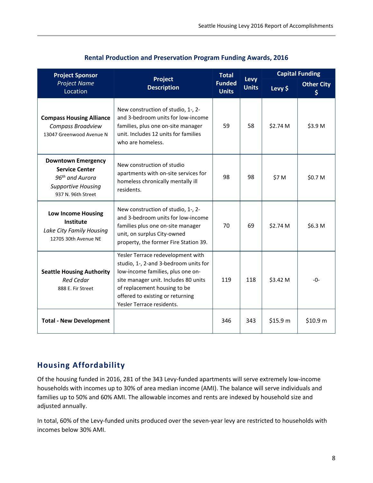| <b>Project Sponsor</b>                                                                                                        |                                                                                                                                                                                                                                                          | <b>Total</b>                  |                      | <b>Capital Funding</b> |                        |
|-------------------------------------------------------------------------------------------------------------------------------|----------------------------------------------------------------------------------------------------------------------------------------------------------------------------------------------------------------------------------------------------------|-------------------------------|----------------------|------------------------|------------------------|
| <b>Project Name</b><br>Location                                                                                               | Project<br><b>Description</b>                                                                                                                                                                                                                            | <b>Funded</b><br><b>Units</b> | Levy<br><b>Units</b> | Levy \$                | <b>Other City</b><br>S |
| <b>Compass Housing Alliance</b><br>Compass Broadview<br>13047 Greenwood Avenue N                                              | New construction of studio, 1-, 2-<br>and 3-bedroom units for low-income<br>families, plus one on-site manager<br>unit. Includes 12 units for families<br>who are homeless.                                                                              | 59                            | 58                   | \$2.74 M               | \$3.9 M                |
| <b>Downtown Emergency</b><br><b>Service Center</b><br>96 <sup>th</sup> and Aurora<br>Supportive Housing<br>937 N. 96th Street | New construction of studio<br>apartments with on-site services for<br>homeless chronically mentally ill<br>residents.                                                                                                                                    | 98                            | 98                   | \$7 M                  | \$0.7 M                |
| <b>Low Income Housing</b><br>Institute<br>Lake City Family Housing<br>12705 30th Avenue NE                                    | New construction of studio, 1-, 2-<br>and 3-bedroom units for low-income<br>families plus one on-site manager<br>unit, on surplus City-owned<br>property, the former Fire Station 39.                                                                    | 70                            | 69                   | \$2.74 M               | \$6.3 M                |
| <b>Seattle Housing Authority</b><br><b>Red Cedar</b><br>888 E. Fir Street                                                     | Yesler Terrace redevelopment with<br>studio, 1-, 2-and 3-bedroom units for<br>low-income families, plus one on-<br>site manager unit. Includes 80 units<br>of replacement housing to be<br>offered to existing or returning<br>Yesler Terrace residents. | 119                           | 118                  | \$3.42 M               | $-0-$                  |
| <b>Total - New Development</b>                                                                                                |                                                                                                                                                                                                                                                          | 346                           | 343                  | \$15.9 m               | \$10.9 m               |

#### **Rental Production and Preservation Program Funding Awards, 2016**

## **Housing Affordability**

Of the housing funded in 2016, 281 of the 343 Levy-funded apartments will serve extremely low-income households with incomes up to 30% of area median income (AMI). The balance will serve individuals and families up to 50% and 60% AMI. The allowable incomes and rents are indexed by household size and adjusted annually.

In total, 60% of the Levy-funded units produced over the seven-year levy are restricted to households with incomes below 30% AMI.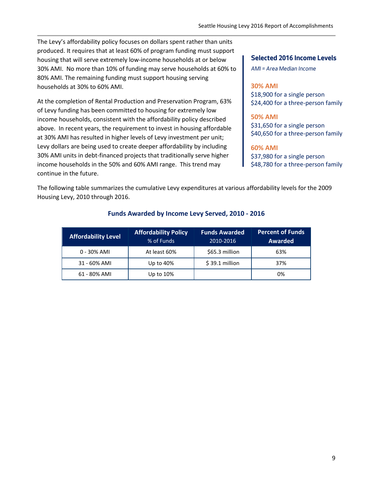The Levy's affordability policy focuses on dollars spent rather than units produced. It requires that at least 60% of program funding must support housing that will serve extremely low-income households at or below 30% AMI. No more than 10% of funding may serve households at 60% to 80% AMI. The remaining funding must support housing serving households at 30% to 60% AMI.

At the completion of Rental Production and Preservation Program, 63% of Levy funding has been committed to housing for extremely low income households, consistent with the affordability policy described above. In recent years, the requirement to invest in housing affordable at 30% AMI has resulted in higher levels of Levy investment per unit; Levy dollars are being used to create deeper affordability by including 30% AMI units in debt-financed projects that traditionally serve higher income households in the 50% and 60% AMI range. This trend may continue in the future.

#### **Selected 2016 Income Levels**

*AMI = Area Median Income*

#### **30% AMI**

\$18,900 for a single person \$24,400 for a three-person family

#### **50% AMI**

\$31,650 for a single person \$40,650 for a three-person family

#### **60% AMI**

\$37,980 for a single person \$48,780 for a three-person family

The following table summarizes the cumulative Levy expenditures at various affordability levels for the 2009 Housing Levy, 2010 through 2016.

| <b>Affordability Level</b> | <b>Affordability Policy</b><br>% of Funds | <b>Funds Awarded</b><br>2010-2016 | <b>Percent of Funds</b><br>Awarded |
|----------------------------|-------------------------------------------|-----------------------------------|------------------------------------|
| 0 - 30% AMI                | At least 60%                              | \$65.3 million                    | 63%                                |
| 31 - 60% AMI               | Up to 40%                                 | $$39.1$ million                   | 37%                                |
| 61 - 80% AMI               | Up to 10%                                 |                                   | 0%                                 |

#### **Funds Awarded by Income Levy Served, 2010 - 2016**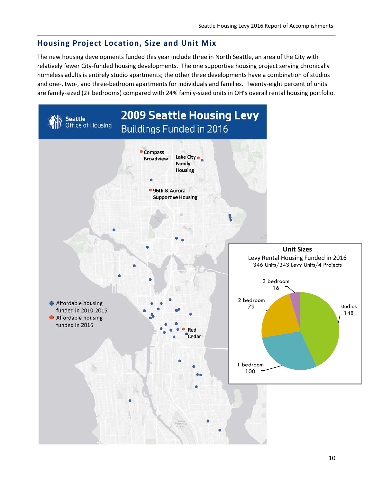# **Housing Project Location, Size and Unit Mix**

The new housing developments funded this year include three in North Seattle, an area of the City with relatively fewer City-funded housing developments. The one supportive housing project serving chronically homeless adults is entirely studio apartments; the other three developments have a combination of studios and one-, two-, and three-bedroom apartments for individuals and families. Twenty-eight percent of units are family-sized (2+ bedrooms) compared with 24% family-sized units in OH's overall rental housing portfolio.

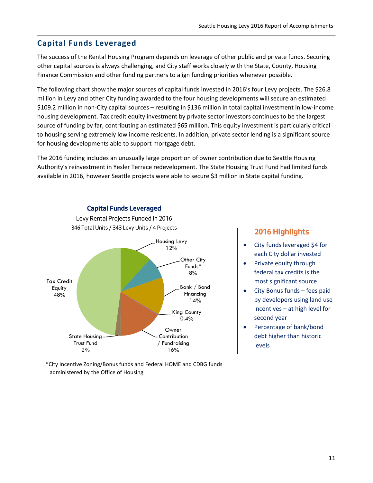# **Capital Funds Leveraged**

The success of the Rental Housing Program depends on leverage of other public and private funds. Securing other capital sources is always challenging, and City staff works closely with the State, County, Housing Finance Commission and other funding partners to align funding priorities whenever possible.

The following chart show the major sources of capital funds invested in 2016's four Levy projects. The \$26.8 million in Levy and other City funding awarded to the four housing developments will secure an estimated \$109.2 million in non-City capital sources – resulting in \$136 million in total capital investment in low-income housing development. Tax credit equity investment by private sector investors continues to be the largest source of funding by far, contributing an estimated \$65 million. This equity investment is particularly critical to housing serving extremely low income residents. In addition, private sector lending is a significant source for housing developments able to support mortgage debt.

The 2016 funding includes an unusually large proportion of owner contribution due to Seattle Housing Authority's reinvestment in Yesler Terrace redevelopment. The State Housing Trust Fund had limited funds available in 2016, however Seattle projects were able to secure \$3 million in State capital funding.



#### **Capital Funds Leveraged**

Levy Rental Projects Funded in 2016 346 Total Units / 343 Levy Units / 4 Projects

#### \*City Incentive Zoning/Bonus funds and Federal HOME and CDBG funds administered by the Office of Housing

## **2016 Highlights**

- City funds leveraged \$4 for each City dollar invested
- Private equity through federal tax credits is the most significant source
- City Bonus funds fees paid by developers using land use incentives – at high level for second year
- Percentage of bank/bond debt higher than historic levels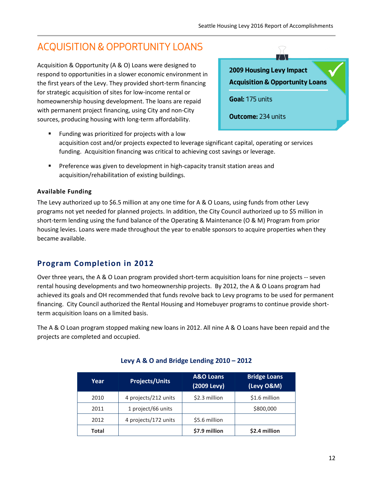# ACQUISITION & OPPORTUNITY LOANS

Acquisition & Opportunity (A & O) Loans were designed to respond to opportunities in a slower economic environment in the first years of the Levy. They provided short-term financing for strategic acquisition of sites for low-income rental or homeownership housing development. The loans are repaid with permanent project financing, using City and non-City sources, producing housing with long-term affordability.



- **Funding was prioritized for projects with a low** acquisition cost and/or projects expected to leverage significant capital, operating or services funding. Acquisition financing was critical to achieving cost savings or leverage.
- Preference was given to development in high-capacity transit station areas and acquisition/rehabilitation of existing buildings.

#### **Available Funding**

The Levy authorized up to \$6.5 million at any one time for A & O Loans, using funds from other Levy programs not yet needed for planned projects. In addition, the City Council authorized up to \$5 million in short-term lending using the fund balance of the Operating & Maintenance (O & M) Program from prior housing levies. Loans were made throughout the year to enable sponsors to acquire properties when they became available.

# **Program Completion in 2012**

Over three years, the A & O Loan program provided short-term acquisition loans for nine projects -- seven rental housing developments and two homeownership projects. By 2012, the A & O Loans program had achieved its goals and OH recommended that funds revolve back to Levy programs to be used for permanent financing. City Council authorized the Rental Housing and Homebuyer programs to continue provide shortterm acquisition loans on a limited basis.

The A & O Loan program stopped making new loans in 2012. All nine A & O Loans have been repaid and the projects are completed and occupied.

| Year  | <b>Projects/Units</b> | <b>A&amp;O</b> Loans<br>(2009 Levy) | <b>Bridge Loans</b><br>(Levy O&M) |
|-------|-----------------------|-------------------------------------|-----------------------------------|
| 2010  | 4 projects/212 units  | \$2.3 million                       | \$1.6 million                     |
| 2011  | 1 project/66 units    |                                     | \$800,000                         |
| 2012  | 4 projects/172 units  | \$5.6 million                       |                                   |
| Total |                       | \$7.9 million                       | \$2.4 million                     |

#### **Levy A & O and Bridge Lending 2010 – 2012**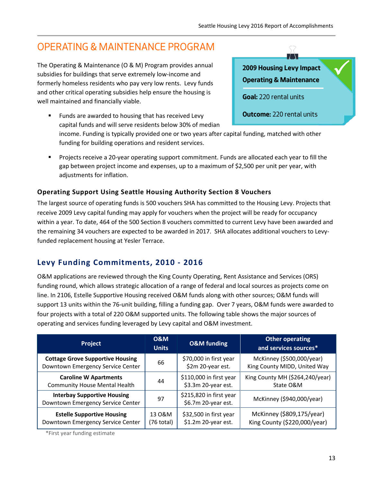# OPERATING & MAINTENANCE PROGRAM

The Operating & Maintenance (O & M) Program provides annual subsidies for buildings that serve extremely low-income and formerly homeless residents who pay very low rents. Levy funds and other critical operating subsidies help ensure the housing is well maintained and financially viable.

 Funds are awarded to housing that has received Levy capital funds and will serve residents below 30% of median



- income. Funding is typically provided one or two years after capital funding, matched with other funding for building operations and resident services.
- Projects receive a 20-year operating support commitment. Funds are allocated each year to fill the gap between project income and expenses, up to a maximum of \$2,500 per unit per year, with adjustments for inflation.

## **Operating Support Using Seattle Housing Authority Section 8 Vouchers**

The largest source of operating funds is 500 vouchers SHA has committed to the Housing Levy. Projects that receive 2009 Levy capital funding may apply for vouchers when the project will be ready for occupancy within a year. To date, 464 of the 500 Section 8 vouchers committed to current Levy have been awarded and the remaining 34 vouchers are expected to be awarded in 2017. SHA allocates additional vouchers to Levyfunded replacement housing at Yesler Terrace.

# **Levy Funding Commitments, 2010 - 2016**

O&M applications are reviewed through the King County Operating, Rent Assistance and Services (ORS) funding round, which allows strategic allocation of a range of federal and local sources as projects come on line. In 2106, Estelle Supportive Housing received O&M funds along with other sources; O&M funds will support 13 units within the 76-unit building, filling a funding gap. Over 7 years, O&M funds were awarded to four projects with a total of 220 O&M supported units. The following table shows the major sources of operating and services funding leveraged by Levy capital and O&M investment.

| Project                                                                 | <b>O&amp;M</b><br><b>Units</b> | <b>O&amp;M</b> funding                         | <b>Other operating</b><br>and services sources* |
|-------------------------------------------------------------------------|--------------------------------|------------------------------------------------|-------------------------------------------------|
| <b>Cottage Grove Supportive Housing</b>                                 | 66                             | \$70,000 in first year                         | McKinney (\$500,000/year)                       |
| Downtown Emergency Service Center                                       |                                | \$2m 20-year est.                              | King County MIDD, United Way                    |
| <b>Caroline W Apartments</b>                                            | 44                             | \$110,000 in first year                        | King County MH (\$264,240/year)                 |
| <b>Community House Mental Health</b>                                    |                                | \$3.3m 20-year est.                            | State O&M                                       |
| <b>Interbay Supportive Housing</b><br>Downtown Emergency Service Center | 97                             | \$215,820 in first year<br>\$6.7m 20-year est. | McKinney (\$940,000/year)                       |
| <b>Estelle Supportive Housing</b>                                       | 13 O&M                         | \$32,500 in first year                         | McKinney (\$809,175/year)                       |
| Downtown Emergency Service Center                                       | (76 total)                     | \$1.2m 20-year est.                            | King County (\$220,000/year)                    |

\*First year funding estimate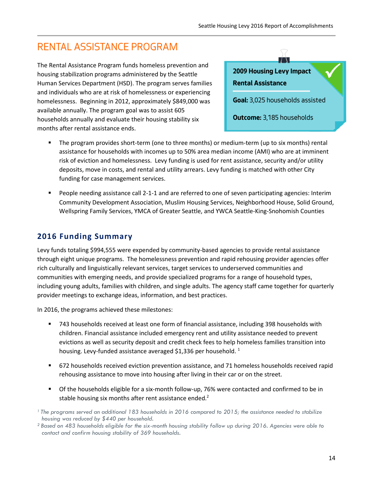# RENTAL ASSISTANCE PROGRAM

The Rental Assistance Program funds homeless prevention and housing stabilization programs administered by the Seattle Human Services Department (HSD). The program serves families and individuals who are at risk of homelessness or experiencing homelessness. Beginning in 2012, approximately \$849,000 was available annually. The program goal was to assist 605 households annually and evaluate their housing stability six months after rental assistance ends.



- The program provides short-term (one to three months) or medium-term (up to six months) rental assistance for households with incomes up to 50% area median income (AMI) who are at imminent risk of eviction and homelessness. Levy funding is used for rent assistance, security and/or utility deposits, move in costs, and rental and utility arrears. Levy funding is matched with other City funding for case management services.
- People needing assistance call 2-1-1 and are referred to one of seven participating agencies: Interim Community Development Association, Muslim Housing Services, Neighborhood House, Solid Ground, Wellspring Family Services, YMCA of Greater Seattle, and YWCA Seattle-King-Snohomish Counties

# **2016 Funding Summary**

Levy funds totaling \$994,555 were expended by community-based agencies to provide rental assistance through eight unique programs. The homelessness prevention and rapid rehousing provider agencies offer rich culturally and linguistically relevant services, target services to underserved communities and communities with emerging needs, and provide specialized programs for a range of household types, including young adults, families with children, and single adults. The agency staff came together for quarterly provider meetings to exchange ideas, information, and best practices.

In 2016, the programs achieved these milestones:

- 743 households received at least one form of financial assistance, including 398 households with children. Financial assistance included emergency rent and utility assistance needed to prevent evictions as well as security deposit and credit check fees to help homeless families transition into housing. Levy-funded assistance averaged \$1,336 per household.  $1$
- 672 households received eviction prevention assistance, and 71 homeless households received rapid rehousing assistance to move into housing after living in their car or on the street.
- Of the households eligible for a six-month follow-up, 76% were contacted and confirmed to be in stable housing six months after rent assistance ended.<sup>2</sup>

*<sup>1</sup> The programs served an additional 183 households in 2016 compared to 2015; the assistance needed to stabilize housing was reduced by \$440 per household.*

*<sup>2</sup> Based on 483 households eligible for the six-month housing stability follow up during 2016. Agencies were able to contact and confirm housing stability of 369 households.*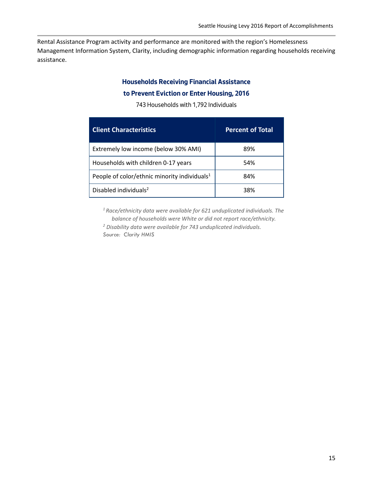Rental Assistance Program activity and performance are monitored with the region's Homelessness Management Information System, Clarity, including demographic information regarding households receiving assistance.

#### **Households Receiving Financial Assistance**

#### **to Prevent Eviction or Enter Housing, 2016**

743 Households with 1,792 Individuals

| <b>Client Characteristics</b>                            | <b>Percent of Total</b> |
|----------------------------------------------------------|-------------------------|
| Extremely low income (below 30% AMI)                     | 89%                     |
| Households with children 0-17 years                      | 54%                     |
| People of color/ethnic minority individuals <sup>1</sup> | 84%                     |
| Disabled individuals <sup>2</sup>                        | 38%                     |

*<sup>1</sup> Race/ethnicity data were available for 621 unduplicated individuals. The balance of households were White or did not report race/ethnicity.*

*<sup>2</sup> Disability data were available for 743 unduplicated individuals. Source: Clarity HMIS*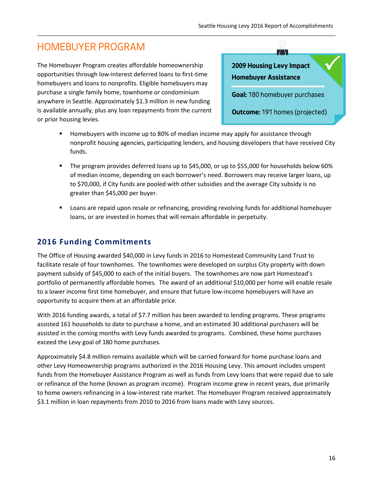# HOMEBUYER PROGRAM

The Homebuyer Program creates affordable homeownership opportunities through low-interest deferred loans to first-time homebuyers and loans to nonprofits. Eligible homebuyers may purchase a single family home, townhome or condominium anywhere in Seattle. Approximately \$1.3 million in new funding is available annually, plus any loan repayments from the current or prior housing levies.

# **2009 Housing Levy Impact Homebuyer Assistance**

**Goal:** 180 homebuyer purchases

 $\bigcirc$  $\top$ 

**Outcome:** 191 homes (projected)

- Homebuyers with income up to 80% of median income may apply for assistance through nonprofit housing agencies, participating lenders, and housing developers that have received City funds.
- The program provides deferred loans up to \$45,000, or up to \$55,000 for households below 60% of median income, depending on each borrower's need. Borrowers may receive larger loans, up to \$70,000, if City funds are pooled with other subsidies and the average City subsidy is no greater than \$45,000 per buyer.
- Loans are repaid upon resale or refinancing, providing revolving funds for additional homebuyer loans, or are invested in homes that will remain affordable in perpetuity.

# **2016 Funding Commitments**

The Office of Housing awarded \$40,000 in Levy funds in 2016 to Homestead Community Land Trust to facilitate resale of four townhomes. The townhomes were developed on surplus City property with down payment subsidy of \$45,000 to each of the initial buyers. The townhomes are now part Homestead's portfolio of permanently affordable homes. The award of an additional \$10,000 per home will enable resale to a lower income first time homebuyer, and ensure that future low-income homebuyers will have an opportunity to acquire them at an affordable price.

With 2016 funding awards, a total of \$7.7 million has been awarded to lending programs. These programs assisted 161 households to date to purchase a home, and an estimated 30 additional purchasers will be assisted in the coming months with Levy funds awarded to programs. Combined, these home purchases exceed the Levy goal of 180 home purchases.

Approximately \$4.8 million remains available which will be carried forward for home purchase loans and other Levy Homeownership programs authorized in the 2016 Housing Levy. This amount includes unspent funds from the Homebuyer Assistance Program as well as funds from Levy loans that were repaid due to sale or refinance of the home (known as program income). Program income grew in recent years, due primarily to home owners refinancing in a low-interest rate market. The Homebuyer Program received approximately \$3.1 million in loan repayments from 2010 to 2016 from loans made with Levy sources.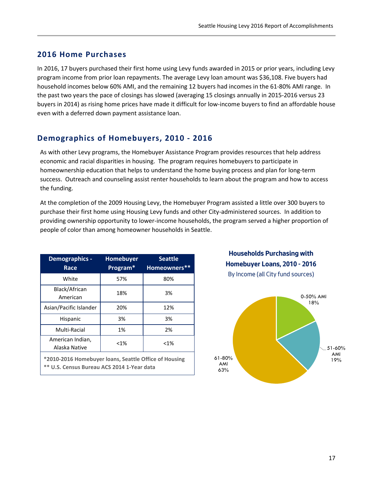## **2016 Home Purchases**

In 2016, 17 buyers purchased their first home using Levy funds awarded in 2015 or prior years, including Levy program income from prior loan repayments. The average Levy loan amount was \$36,108. Five buyers had household incomes below 60% AMI, and the remaining 12 buyers had incomes in the 61-80% AMI range. In the past two years the pace of closings has slowed (averaging 15 closings annually in 2015-2016 versus 23 buyers in 2014) as rising home prices have made it difficult for low-income buyers to find an affordable house even with a deferred down payment assistance loan.

## **Demographics of Homebuyers, 2010 - 2016**

As with other Levy programs, the Homebuyer Assistance Program provides resources that help address economic and racial disparities in housing. The program requires homebuyers to participate in homeownership education that helps to understand the home buying process and plan for long-term success. Outreach and counseling assist renter households to learn about the program and how to access the funding.

At the completion of the 2009 Housing Levy, the Homebuyer Program assisted a little over 300 buyers to purchase their first home using Housing Levy funds and other City-administered sources. In addition to providing ownership opportunity to lower-income households, the program served a higher proportion of people of color than among homeowner households in Seattle.

| Demographics -<br>Race                                                                              | Homebuyer<br>Program* | <b>Seattle</b><br>Homeowners** |  |  |
|-----------------------------------------------------------------------------------------------------|-----------------------|--------------------------------|--|--|
| White                                                                                               | 57%                   | 80%                            |  |  |
| Black/African<br>American                                                                           | 18%                   | 3%                             |  |  |
| Asian/Pacific Islander                                                                              | 20%                   | 12%                            |  |  |
| Hispanic                                                                                            | 3%                    | 3%                             |  |  |
| Multi-Racial                                                                                        | 1%                    | 2%                             |  |  |
| American Indian,<br>Alaska Native                                                                   | $< 1\%$               | $< 1\%$                        |  |  |
| *2010-2016 Homebuyer loans, Seattle Office of Housing<br>** U.S. Census Bureau ACS 2014 1-Year data |                       |                                |  |  |

**Households Purchasing with Homebuyer Loans, 2010 - 2016**  By Income (all City fund sources)

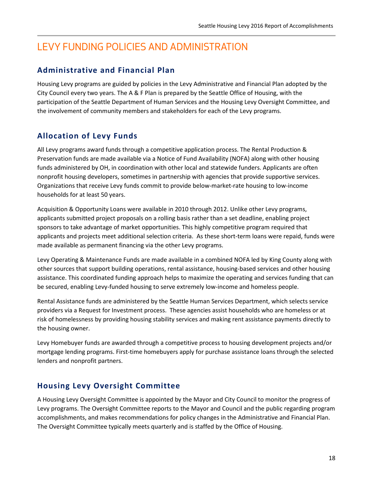# LEVY FUNDING POLICIES AND ADMINISTRATION

# **Administrative and Financial Plan**

Housing Levy programs are guided by policies in the Levy Administrative and Financial Plan adopted by the City Council every two years. The A & F Plan is prepared by the Seattle Office of Housing, with the participation of the Seattle Department of Human Services and the Housing Levy Oversight Committee, and the involvement of community members and stakeholders for each of the Levy programs.

# **Allocation of Levy Funds**

All Levy programs award funds through a competitive application process. The Rental Production & Preservation funds are made available via a Notice of Fund Availability (NOFA) along with other housing funds administered by OH, in coordination with other local and statewide funders. Applicants are often nonprofit housing developers, sometimes in partnership with agencies that provide supportive services. Organizations that receive Levy funds commit to provide below-market-rate housing to low-income households for at least 50 years.

Acquisition & Opportunity Loans were available in 2010 through 2012. Unlike other Levy programs, applicants submitted project proposals on a rolling basis rather than a set deadline, enabling project sponsors to take advantage of market opportunities. This highly competitive program required that applicants and projects meet additional selection criteria. As these short-term loans were repaid, funds were made available as permanent financing via the other Levy programs.

Levy Operating & Maintenance Funds are made available in a combined NOFA led by King County along with other sources that support building operations, rental assistance, housing-based services and other housing assistance. This coordinated funding approach helps to maximize the operating and services funding that can be secured, enabling Levy-funded housing to serve extremely low-income and homeless people.

Rental Assistance funds are administered by the Seattle Human Services Department, which selects service providers via a Request for Investment process. These agencies assist households who are homeless or at risk of homelessness by providing housing stability services and making rent assistance payments directly to the housing owner.

Levy Homebuyer funds are awarded through a competitive process to housing development projects and/or mortgage lending programs. First-time homebuyers apply for purchase assistance loans through the selected lenders and nonprofit partners.

# **Housing Levy Oversight Committee**

A Housing Levy Oversight Committee is appointed by the Mayor and City Council to monitor the progress of Levy programs. The Oversight Committee reports to the Mayor and Council and the public regarding program accomplishments, and makes recommendations for policy changes in the Administrative and Financial Plan. The Oversight Committee typically meets quarterly and is staffed by the Office of Housing.